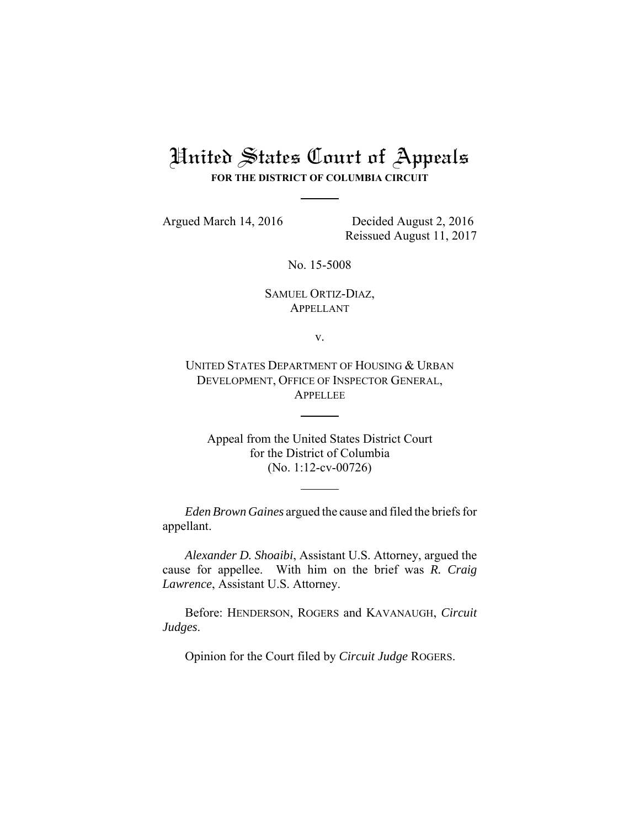# United States Court of Appeals

**FOR THE DISTRICT OF COLUMBIA CIRCUIT**

Argued March 14, 2016 Decided August 2, 2016 Reissued August 11, 2017

No. 15-5008

## SAMUEL ORTIZ-DIAZ, APPELLANT

v.

UNITED STATES DEPARTMENT OF HOUSING & URBAN DEVELOPMENT, OFFICE OF INSPECTOR GENERAL, **APPELLEE** 

Appeal from the United States District Court for the District of Columbia (No. 1:12-cv-00726)

*Eden Brown Gaines* argued the cause and filed the briefs for appellant.

*Alexander D. Shoaibi*, Assistant U.S. Attorney, argued the cause for appellee. With him on the brief was *R. Craig Lawrence*, Assistant U.S. Attorney.

Before: HENDERSON, ROGERS and KAVANAUGH, *Circuit Judges*.

Opinion for the Court filed by *Circuit Judge* ROGERS.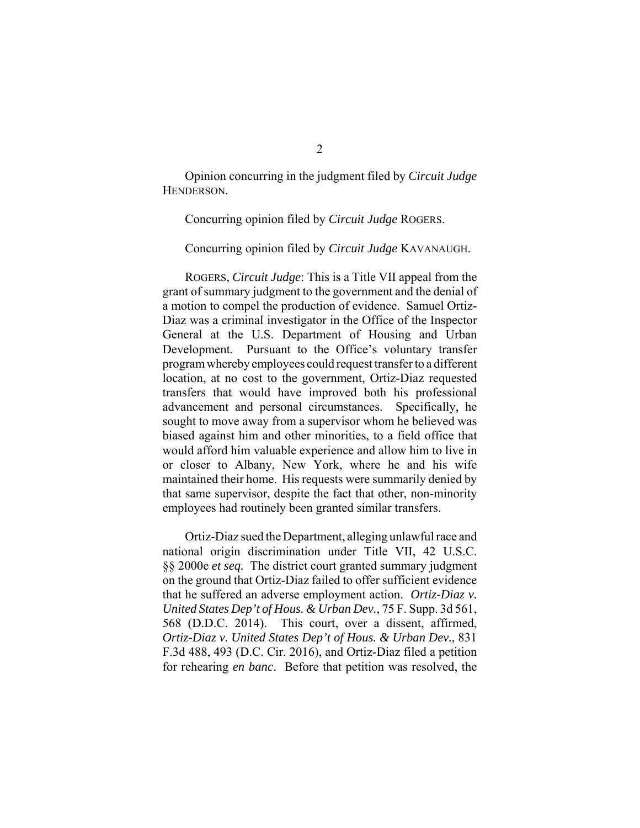Opinion concurring in the judgment filed by *Circuit Judge* HENDERSON.

Concurring opinion filed by *Circuit Judge* ROGERS.

Concurring opinion filed by *Circuit Judge* KAVANAUGH.

ROGERS, *Circuit Judge*: This is a Title VII appeal from the grant of summary judgment to the government and the denial of a motion to compel the production of evidence. Samuel Ortiz-Diaz was a criminal investigator in the Office of the Inspector General at the U.S. Department of Housing and Urban Development. Pursuant to the Office's voluntary transfer program whereby employees could request transfer to a different location, at no cost to the government, Ortiz-Diaz requested transfers that would have improved both his professional advancement and personal circumstances. Specifically, he sought to move away from a supervisor whom he believed was biased against him and other minorities, to a field office that would afford him valuable experience and allow him to live in or closer to Albany, New York, where he and his wife maintained their home. His requests were summarily denied by that same supervisor, despite the fact that other, non-minority employees had routinely been granted similar transfers.

Ortiz-Diaz sued the Department, alleging unlawful race and national origin discrimination under Title VII, 42 U.S.C. §§ 2000e *et seq.* The district court granted summary judgment on the ground that Ortiz-Diaz failed to offer sufficient evidence that he suffered an adverse employment action. *Ortiz-Diaz v. United States Dep't of Hous. & Urban Dev.*, 75 F. Supp. 3d 561, 568 (D.D.C. 2014). This court, over a dissent, affirmed, *Ortiz-Diaz v. United States Dep't of Hous. & Urban Dev.*, 831 F.3d 488, 493 (D.C. Cir. 2016), and Ortiz-Diaz filed a petition for rehearing *en banc*. Before that petition was resolved, the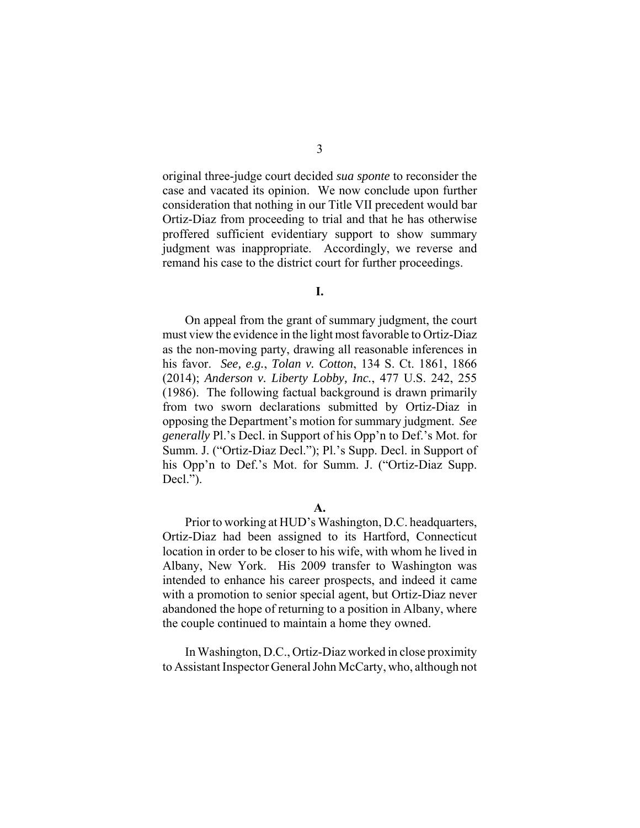original three-judge court decided *sua sponte* to reconsider the case and vacated its opinion. We now conclude upon further consideration that nothing in our Title VII precedent would bar Ortiz-Diaz from proceeding to trial and that he has otherwise proffered sufficient evidentiary support to show summary judgment was inappropriate. Accordingly, we reverse and remand his case to the district court for further proceedings.

**I.**

On appeal from the grant of summary judgment, the court must view the evidence in the light most favorable to Ortiz-Diaz as the non-moving party, drawing all reasonable inferences in his favor. *See, e.g.*, *Tolan v. Cotton*, 134 S. Ct. 1861, 1866 (2014); *Anderson v. Liberty Lobby, Inc.*, 477 U.S. 242, 255 (1986). The following factual background is drawn primarily from two sworn declarations submitted by Ortiz-Diaz in opposing the Department's motion for summary judgment. *See generally* Pl.'s Decl. in Support of his Opp'n to Def.'s Mot. for Summ. J. ("Ortiz-Diaz Decl."); Pl.'s Supp. Decl. in Support of his Opp'n to Def.'s Mot. for Summ. J. ("Ortiz-Diaz Supp. Decl.").

**A.**

Prior to working at HUD's Washington, D.C. headquarters, Ortiz-Diaz had been assigned to its Hartford, Connecticut location in order to be closer to his wife, with whom he lived in Albany, New York. His 2009 transfer to Washington was intended to enhance his career prospects, and indeed it came with a promotion to senior special agent, but Ortiz-Diaz never abandoned the hope of returning to a position in Albany, where the couple continued to maintain a home they owned.

In Washington, D.C., Ortiz-Diaz worked in close proximity to Assistant Inspector General John McCarty, who, although not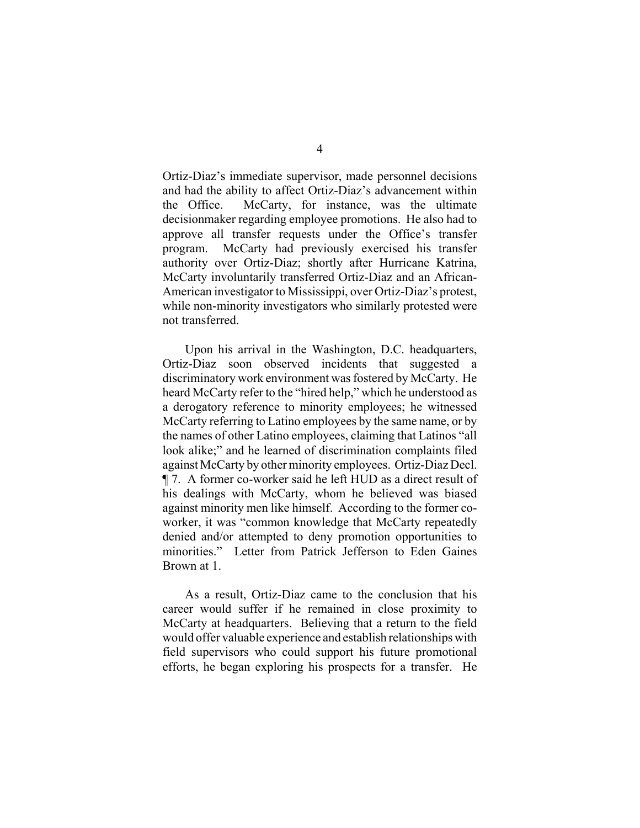Ortiz-Diaz's immediate supervisor, made personnel decisions and had the ability to affect Ortiz-Diaz's advancement within the Office. McCarty, for instance, was the ultimate decisionmaker regarding employee promotions. He also had to approve all transfer requests under the Office's transfer program. McCarty had previously exercised his transfer authority over Ortiz-Diaz; shortly after Hurricane Katrina, McCarty involuntarily transferred Ortiz-Diaz and an African-American investigator to Mississippi, over Ortiz-Diaz's protest, while non-minority investigators who similarly protested were not transferred.

Upon his arrival in the Washington, D.C. headquarters, Ortiz-Diaz soon observed incidents that suggested a discriminatory work environment was fostered by McCarty. He heard McCarty refer to the "hired help," which he understood as a derogatory reference to minority employees; he witnessed McCarty referring to Latino employees by the same name, or by the names of other Latino employees, claiming that Latinos "all look alike;" and he learned of discrimination complaints filed against McCarty by other minority employees. Ortiz-Diaz Decl. ¶ 7. A former co-worker said he left HUD as a direct result of his dealings with McCarty, whom he believed was biased against minority men like himself. According to the former coworker, it was "common knowledge that McCarty repeatedly denied and/or attempted to deny promotion opportunities to minorities." Letter from Patrick Jefferson to Eden Gaines Brown at 1.

As a result, Ortiz-Diaz came to the conclusion that his career would suffer if he remained in close proximity to McCarty at headquarters. Believing that a return to the field would offer valuable experience and establish relationships with field supervisors who could support his future promotional efforts, he began exploring his prospects for a transfer. He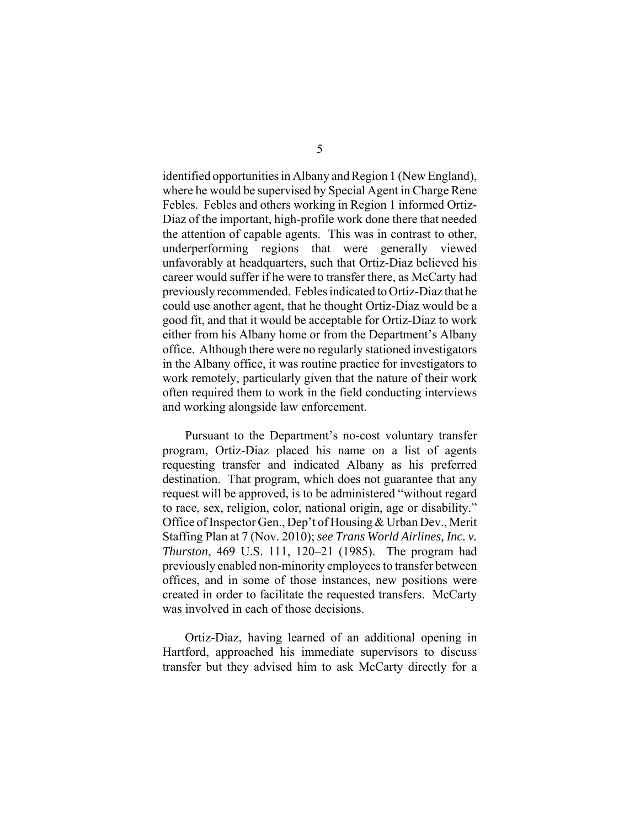identified opportunities in Albany and Region 1 (New England), where he would be supervised by Special Agent in Charge Rene Febles. Febles and others working in Region 1 informed Ortiz-Diaz of the important, high-profile work done there that needed the attention of capable agents. This was in contrast to other, underperforming regions that were generally viewed unfavorably at headquarters, such that Ortiz-Diaz believed his career would suffer if he were to transfer there, as McCarty had previously recommended. Febles indicated to Ortiz-Diaz that he could use another agent, that he thought Ortiz-Diaz would be a good fit, and that it would be acceptable for Ortiz-Diaz to work either from his Albany home or from the Department's Albany office. Although there were no regularly stationed investigators in the Albany office, it was routine practice for investigators to work remotely, particularly given that the nature of their work often required them to work in the field conducting interviews and working alongside law enforcement.

Pursuant to the Department's no-cost voluntary transfer program, Ortiz-Diaz placed his name on a list of agents requesting transfer and indicated Albany as his preferred destination. That program, which does not guarantee that any request will be approved, is to be administered "without regard to race, sex, religion, color, national origin, age or disability." Office of Inspector Gen., Dep't of Housing & Urban Dev., Merit Staffing Plan at 7 (Nov. 2010); *see Trans World Airlines, Inc. v. Thurston*, 469 U.S. 111, 120–21 (1985). The program had previously enabled non-minority employees to transfer between offices, and in some of those instances, new positions were created in order to facilitate the requested transfers. McCarty was involved in each of those decisions.

Ortiz-Diaz, having learned of an additional opening in Hartford, approached his immediate supervisors to discuss transfer but they advised him to ask McCarty directly for a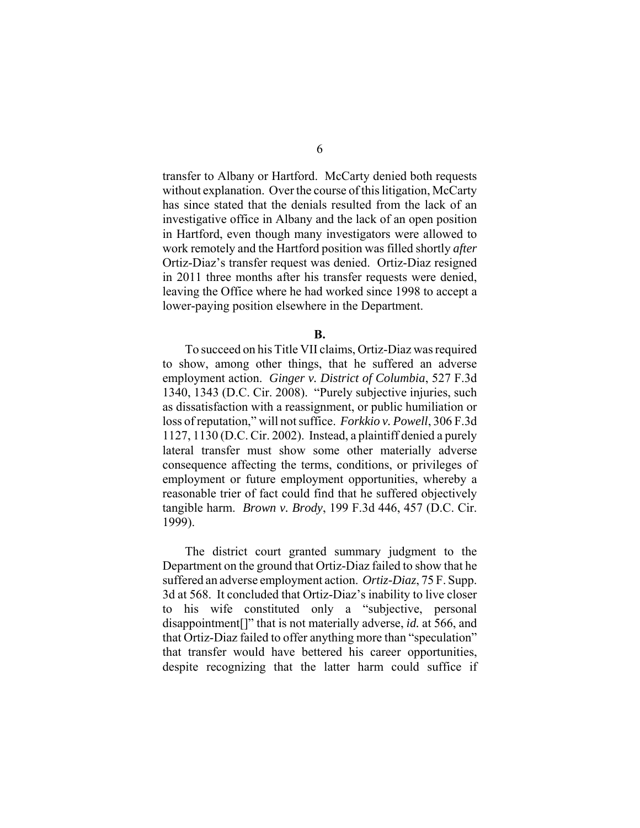transfer to Albany or Hartford. McCarty denied both requests without explanation. Over the course of this litigation, McCarty has since stated that the denials resulted from the lack of an investigative office in Albany and the lack of an open position in Hartford, even though many investigators were allowed to work remotely and the Hartford position was filled shortly *after* Ortiz-Diaz's transfer request was denied. Ortiz-Diaz resigned in 2011 three months after his transfer requests were denied, leaving the Office where he had worked since 1998 to accept a lower-paying position elsewhere in the Department.

**B.**

To succeed on his Title VII claims, Ortiz-Diaz was required to show, among other things, that he suffered an adverse employment action. *Ginger v. District of Columbia*, 527 F.3d 1340, 1343 (D.C. Cir. 2008). "Purely subjective injuries, such as dissatisfaction with a reassignment, or public humiliation or loss of reputation," will not suffice. *Forkkio v. Powell*, 306 F.3d 1127, 1130 (D.C. Cir. 2002). Instead, a plaintiff denied a purely lateral transfer must show some other materially adverse consequence affecting the terms, conditions, or privileges of employment or future employment opportunities, whereby a reasonable trier of fact could find that he suffered objectively tangible harm. *Brown v. Brody*, 199 F.3d 446, 457 (D.C. Cir. 1999).

The district court granted summary judgment to the Department on the ground that Ortiz-Diaz failed to show that he suffered an adverse employment action. *Ortiz-Diaz*, 75 F. Supp. 3d at 568. It concluded that Ortiz-Diaz's inability to live closer to his wife constituted only a "subjective, personal disappointment[]" that is not materially adverse, *id.* at 566, and that Ortiz-Diaz failed to offer anything more than "speculation" that transfer would have bettered his career opportunities, despite recognizing that the latter harm could suffice if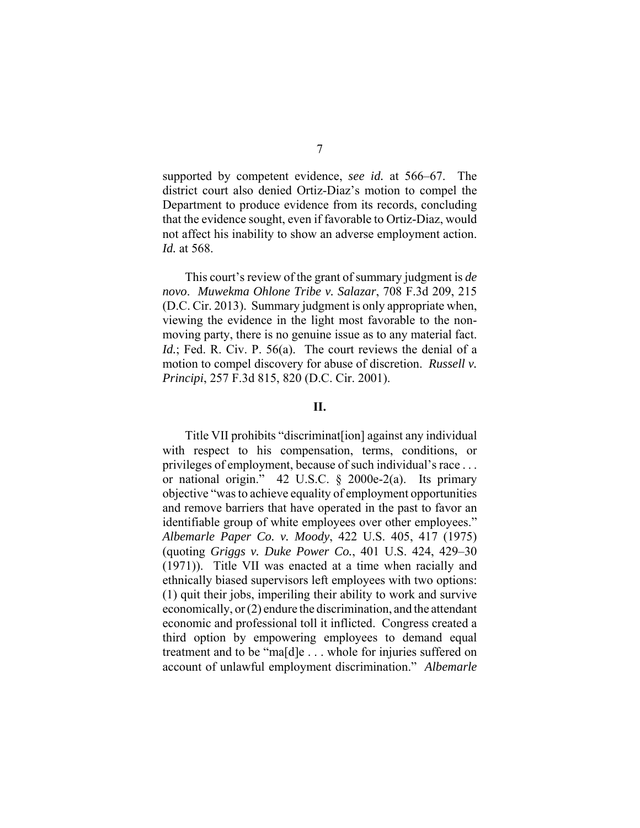supported by competent evidence, *see id.* at 566–67. The district court also denied Ortiz-Diaz's motion to compel the Department to produce evidence from its records, concluding that the evidence sought, even if favorable to Ortiz-Diaz, would not affect his inability to show an adverse employment action. *Id.* at 568.

This court's review of the grant of summary judgment is *de novo*. *Muwekma Ohlone Tribe v. Salazar*, 708 F.3d 209, 215 (D.C. Cir. 2013). Summary judgment is only appropriate when, viewing the evidence in the light most favorable to the nonmoving party, there is no genuine issue as to any material fact. *Id.*; Fed. R. Civ. P. 56(a). The court reviews the denial of a motion to compel discovery for abuse of discretion. *Russell v. Principi*, 257 F.3d 815, 820 (D.C. Cir. 2001).

#### **II.**

Title VII prohibits "discriminat[ion] against any individual with respect to his compensation, terms, conditions, or privileges of employment, because of such individual's race . . . or national origin." 42 U.S.C. § 2000e-2(a). Its primary objective "was to achieve equality of employment opportunities and remove barriers that have operated in the past to favor an identifiable group of white employees over other employees." *Albemarle Paper Co. v. Moody*, 422 U.S. 405, 417 (1975) (quoting *Griggs v. Duke Power Co.*, 401 U.S. 424, 429–30 (1971)). Title VII was enacted at a time when racially and ethnically biased supervisors left employees with two options: (1) quit their jobs, imperiling their ability to work and survive economically, or (2) endure the discrimination, and the attendant economic and professional toll it inflicted. Congress created a third option by empowering employees to demand equal treatment and to be "ma[d]e . . . whole for injuries suffered on account of unlawful employment discrimination." *Albemarle*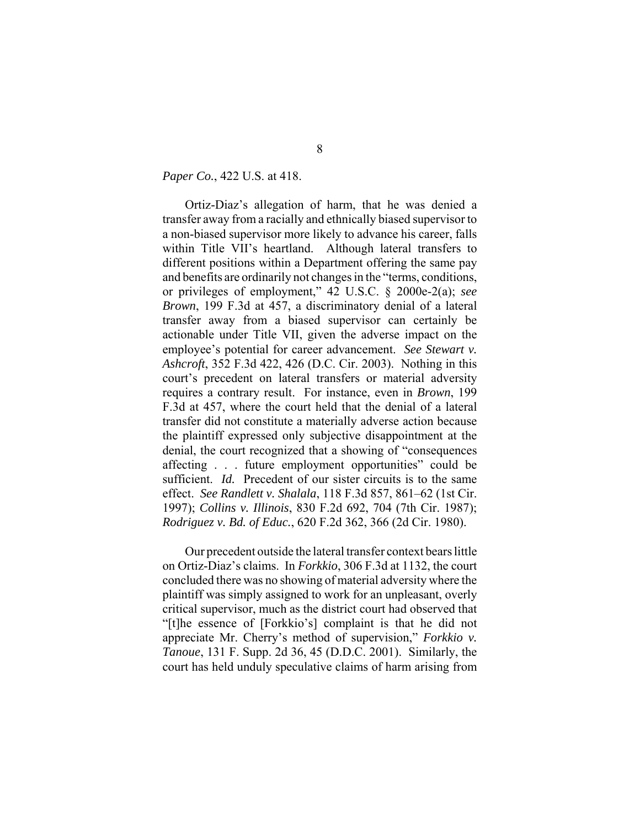*Paper Co.*, 422 U.S. at 418.

Ortiz-Diaz's allegation of harm, that he was denied a transfer away from a racially and ethnically biased supervisor to a non-biased supervisor more likely to advance his career, falls within Title VII's heartland. Although lateral transfers to different positions within a Department offering the same pay and benefits are ordinarily not changes in the "terms, conditions, or privileges of employment," 42 U.S.C. § 2000e-2(a); *see Brown*, 199 F.3d at 457, a discriminatory denial of a lateral transfer away from a biased supervisor can certainly be actionable under Title VII, given the adverse impact on the employee's potential for career advancement. *See Stewart v. Ashcroft*, 352 F.3d 422, 426 (D.C. Cir. 2003). Nothing in this court's precedent on lateral transfers or material adversity requires a contrary result. For instance, even in *Brown*, 199 F.3d at 457, where the court held that the denial of a lateral transfer did not constitute a materially adverse action because the plaintiff expressed only subjective disappointment at the denial, the court recognized that a showing of "consequences affecting . . . future employment opportunities" could be sufficient. *Id.* Precedent of our sister circuits is to the same effect. *See Randlett v. Shalala*, 118 F.3d 857, 861–62 (1st Cir. 1997); *Collins v. Illinois*, 830 F.2d 692, 704 (7th Cir. 1987); *Rodriguez v. Bd. of Educ.*, 620 F.2d 362, 366 (2d Cir. 1980).

Our precedent outside the lateral transfer context bears little on Ortiz-Diaz's claims. In *Forkkio*, 306 F.3d at 1132, the court concluded there was no showing of material adversity where the plaintiff was simply assigned to work for an unpleasant, overly critical supervisor, much as the district court had observed that "[t]he essence of [Forkkio's] complaint is that he did not appreciate Mr. Cherry's method of supervision," *Forkkio v. Tanoue*, 131 F. Supp. 2d 36, 45 (D.D.C. 2001). Similarly, the court has held unduly speculative claims of harm arising from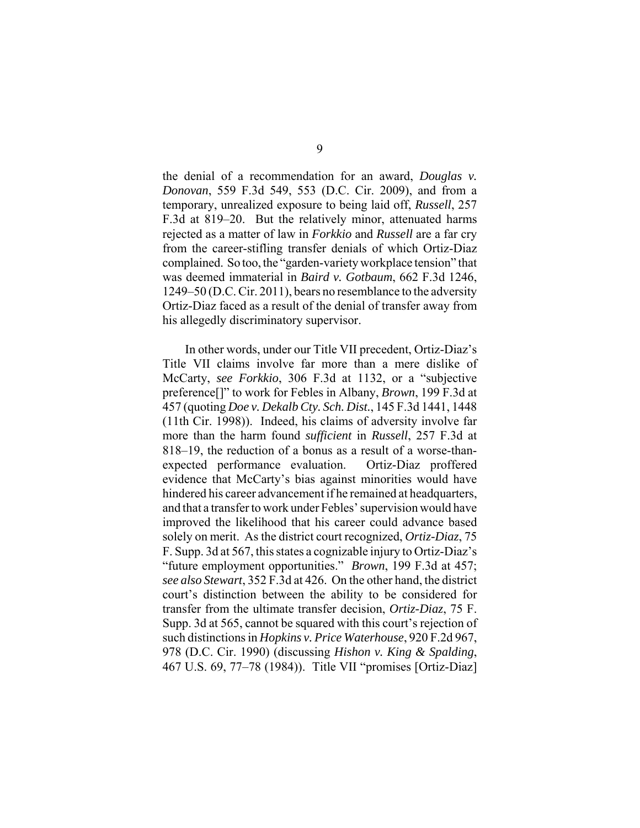the denial of a recommendation for an award, *Douglas v. Donovan*, 559 F.3d 549, 553 (D.C. Cir. 2009), and from a temporary, unrealized exposure to being laid off, *Russell*, 257 F.3d at 819–20. But the relatively minor, attenuated harms rejected as a matter of law in *Forkkio* and *Russell* are a far cry from the career-stifling transfer denials of which Ortiz-Diaz complained. So too, the "garden-variety workplace tension" that was deemed immaterial in *Baird v. Gotbaum*, 662 F.3d 1246, 1249–50 (D.C. Cir. 2011), bears no resemblance to the adversity Ortiz-Diaz faced as a result of the denial of transfer away from his allegedly discriminatory supervisor.

In other words, under our Title VII precedent, Ortiz-Diaz's Title VII claims involve far more than a mere dislike of McCarty, *see Forkkio*, 306 F.3d at 1132, or a "subjective preference[]" to work for Febles in Albany, *Brown*, 199 F.3d at 457 (quoting *Doe v. Dekalb Cty. Sch. Dist.*, 145 F.3d 1441, 1448 (11th Cir. 1998)). Indeed, his claims of adversity involve far more than the harm found *sufficient* in *Russell*, 257 F.3d at 818–19, the reduction of a bonus as a result of a worse-thanexpected performance evaluation. Ortiz-Diaz proffered evidence that McCarty's bias against minorities would have hindered his career advancement if he remained at headquarters, and that a transfer to work under Febles' supervision would have improved the likelihood that his career could advance based solely on merit. As the district court recognized, *Ortiz-Diaz*, 75 F. Supp. 3d at 567, this states a cognizable injury to Ortiz-Diaz's "future employment opportunities." *Brown*, 199 F.3d at 457; *see also Stewart*, 352 F.3d at 426. On the other hand, the district court's distinction between the ability to be considered for transfer from the ultimate transfer decision, *Ortiz-Diaz*, 75 F. Supp. 3d at 565, cannot be squared with this court's rejection of such distinctions in *Hopkins v. Price Waterhouse*, 920 F.2d 967, 978 (D.C. Cir. 1990) (discussing *Hishon v. King & Spalding*, 467 U.S. 69, 77–78 (1984)). Title VII "promises [Ortiz-Diaz]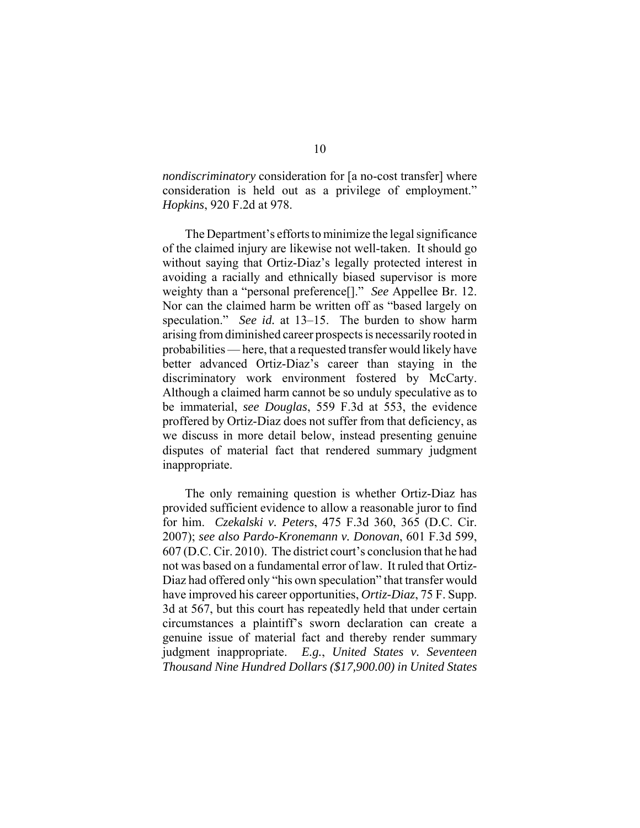*nondiscriminatory* consideration for [a no-cost transfer] where consideration is held out as a privilege of employment." *Hopkins*, 920 F.2d at 978.

The Department's efforts to minimize the legal significance of the claimed injury are likewise not well-taken. It should go without saying that Ortiz-Diaz's legally protected interest in avoiding a racially and ethnically biased supervisor is more weighty than a "personal preference[]." *See* Appellee Br. 12. Nor can the claimed harm be written off as "based largely on speculation." *See id.* at 13–15. The burden to show harm arising from diminished career prospects is necessarily rooted in probabilities — here, that a requested transfer would likely have better advanced Ortiz-Diaz's career than staying in the discriminatory work environment fostered by McCarty. Although a claimed harm cannot be so unduly speculative as to be immaterial, *see Douglas*, 559 F.3d at 553, the evidence proffered by Ortiz-Diaz does not suffer from that deficiency, as we discuss in more detail below, instead presenting genuine disputes of material fact that rendered summary judgment inappropriate.

The only remaining question is whether Ortiz-Diaz has provided sufficient evidence to allow a reasonable juror to find for him. *Czekalski v. Peters*, 475 F.3d 360, 365 (D.C. Cir. 2007); *see also Pardo-Kronemann v. Donovan*, 601 F.3d 599, 607 (D.C. Cir. 2010). The district court's conclusion that he had not was based on a fundamental error of law. It ruled that Ortiz-Diaz had offered only "his own speculation" that transfer would have improved his career opportunities, *Ortiz-Diaz*, 75 F. Supp. 3d at 567, but this court has repeatedly held that under certain circumstances a plaintiff's sworn declaration can create a genuine issue of material fact and thereby render summary judgment inappropriate. *E.g.*, *United States v. Seventeen Thousand Nine Hundred Dollars (\$17,900.00) in United States*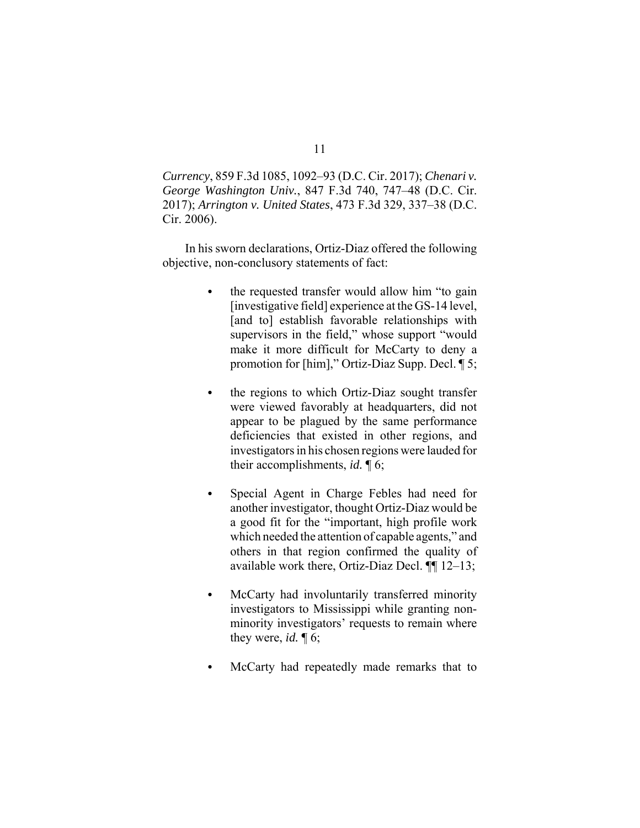*Currency*, 859 F.3d 1085, 1092–93 (D.C. Cir. 2017); *Chenari v. George Washington Univ.*, 847 F.3d 740, 747–48 (D.C. Cir. 2017); *Arrington v. United States*, 473 F.3d 329, 337–38 (D.C. Cir. 2006).

In his sworn declarations, Ortiz-Diaz offered the following objective, non-conclusory statements of fact:

- the requested transfer would allow him "to gain [investigative field] experience at the GS-14 level, [and to] establish favorable relationships with supervisors in the field," whose support "would make it more difficult for McCarty to deny a promotion for [him]," Ortiz-Diaz Supp. Decl. ¶ 5;
- the regions to which Ortiz-Diaz sought transfer were viewed favorably at headquarters, did not appear to be plagued by the same performance deficiencies that existed in other regions, and investigators in his chosen regions were lauded for their accomplishments, *id.* ¶ 6;
- Special Agent in Charge Febles had need for another investigator, thought Ortiz-Diaz would be a good fit for the "important, high profile work which needed the attention of capable agents," and others in that region confirmed the quality of available work there, Ortiz-Diaz Decl. ¶¶ 12–13;
- McCarty had involuntarily transferred minority investigators to Mississippi while granting nonminority investigators' requests to remain where they were, *id.* ¶ 6;
- McCarty had repeatedly made remarks that to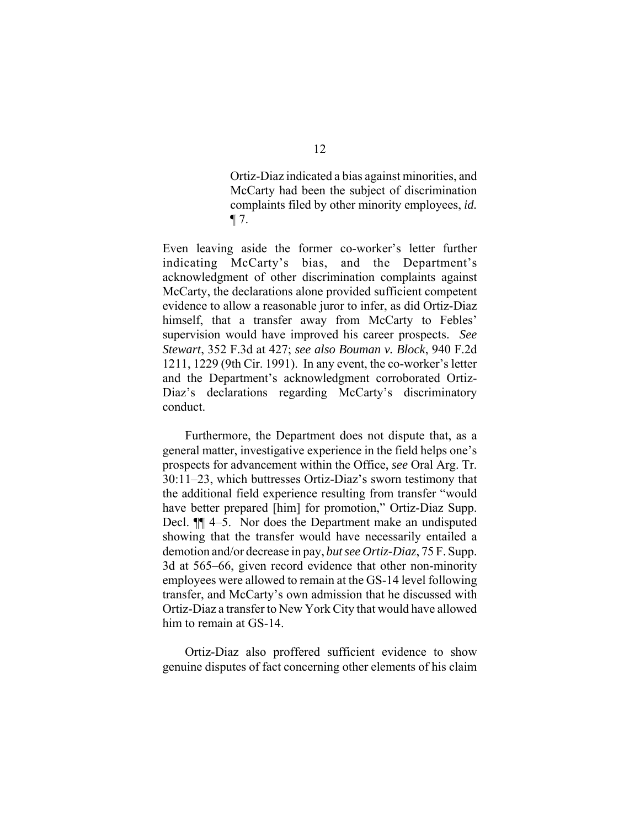Ortiz-Diaz indicated a bias against minorities, and McCarty had been the subject of discrimination complaints filed by other minority employees, *id.*  $\P$  7.

Even leaving aside the former co-worker's letter further indicating McCarty's bias, and the Department's acknowledgment of other discrimination complaints against McCarty, the declarations alone provided sufficient competent evidence to allow a reasonable juror to infer, as did Ortiz-Diaz himself, that a transfer away from McCarty to Febles' supervision would have improved his career prospects. *See Stewart*, 352 F.3d at 427; *see also Bouman v. Block*, 940 F.2d 1211, 1229 (9th Cir. 1991). In any event, the co-worker's letter and the Department's acknowledgment corroborated Ortiz-Diaz's declarations regarding McCarty's discriminatory conduct.

Furthermore, the Department does not dispute that, as a general matter, investigative experience in the field helps one's prospects for advancement within the Office, *see* Oral Arg. Tr. 30:11–23, which buttresses Ortiz-Diaz's sworn testimony that the additional field experience resulting from transfer "would have better prepared [him] for promotion," Ortiz-Diaz Supp. Decl. ¶¶ 4–5. Nor does the Department make an undisputed showing that the transfer would have necessarily entailed a demotion and/or decrease in pay, *but see Ortiz-Diaz*, 75 F. Supp. 3d at 565–66, given record evidence that other non-minority employees were allowed to remain at the GS-14 level following transfer, and McCarty's own admission that he discussed with Ortiz-Diaz a transfer to New York City that would have allowed him to remain at GS-14.

Ortiz-Diaz also proffered sufficient evidence to show genuine disputes of fact concerning other elements of his claim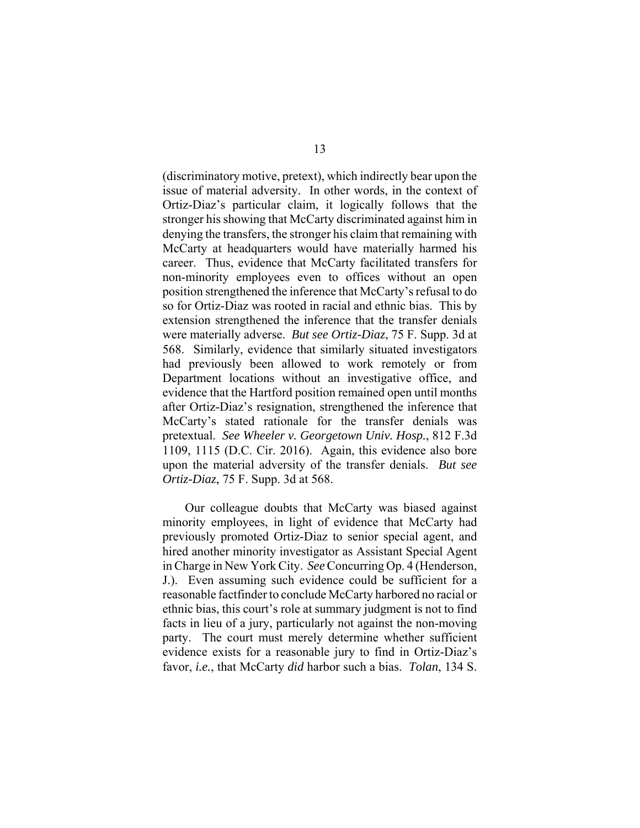(discriminatory motive, pretext), which indirectly bear upon the issue of material adversity. In other words, in the context of Ortiz-Diaz's particular claim, it logically follows that the stronger his showing that McCarty discriminated against him in denying the transfers, the stronger his claim that remaining with McCarty at headquarters would have materially harmed his career. Thus, evidence that McCarty facilitated transfers for non-minority employees even to offices without an open position strengthened the inference that McCarty's refusal to do so for Ortiz-Diaz was rooted in racial and ethnic bias. This by extension strengthened the inference that the transfer denials were materially adverse. *But see Ortiz-Diaz*, 75 F. Supp. 3d at 568. Similarly, evidence that similarly situated investigators had previously been allowed to work remotely or from Department locations without an investigative office, and evidence that the Hartford position remained open until months after Ortiz-Diaz's resignation, strengthened the inference that McCarty's stated rationale for the transfer denials was pretextual. *See Wheeler v. Georgetown Univ. Hosp.*, 812 F.3d 1109, 1115 (D.C. Cir. 2016). Again, this evidence also bore upon the material adversity of the transfer denials. *But see Ortiz-Diaz*, 75 F. Supp. 3d at 568.

Our colleague doubts that McCarty was biased against minority employees, in light of evidence that McCarty had previously promoted Ortiz-Diaz to senior special agent, and hired another minority investigator as Assistant Special Agent in Charge in New York City. *See* Concurring Op. 4 (Henderson, J.). Even assuming such evidence could be sufficient for a reasonable factfinder to conclude McCarty harbored no racial or ethnic bias, this court's role at summary judgment is not to find facts in lieu of a jury, particularly not against the non-moving party. The court must merely determine whether sufficient evidence exists for a reasonable jury to find in Ortiz-Diaz's favor, *i.e.*, that McCarty *did* harbor such a bias. *Tolan*, 134 S.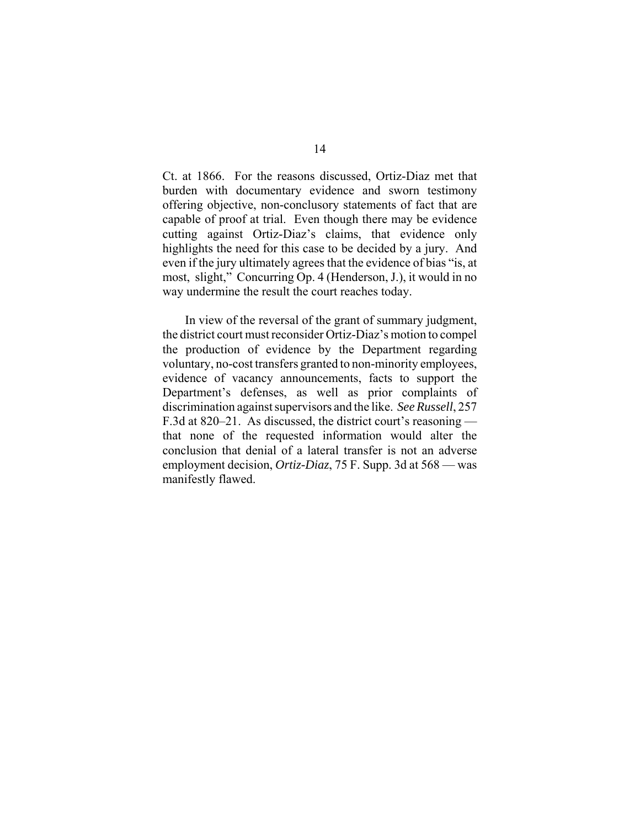Ct. at 1866. For the reasons discussed, Ortiz-Diaz met that burden with documentary evidence and sworn testimony offering objective, non-conclusory statements of fact that are capable of proof at trial. Even though there may be evidence cutting against Ortiz-Diaz's claims, that evidence only highlights the need for this case to be decided by a jury. And even if the jury ultimately agrees that the evidence of bias "is, at most, slight," Concurring Op. 4 (Henderson, J.), it would in no way undermine the result the court reaches today.

In view of the reversal of the grant of summary judgment, the district court must reconsider Ortiz-Diaz's motion to compel the production of evidence by the Department regarding voluntary, no-cost transfers granted to non-minority employees, evidence of vacancy announcements, facts to support the Department's defenses, as well as prior complaints of discrimination against supervisors and the like. *See Russell*, 257 F.3d at 820–21. As discussed, the district court's reasoning that none of the requested information would alter the conclusion that denial of a lateral transfer is not an adverse employment decision, *Ortiz-Diaz*, 75 F. Supp. 3d at 568 — was manifestly flawed.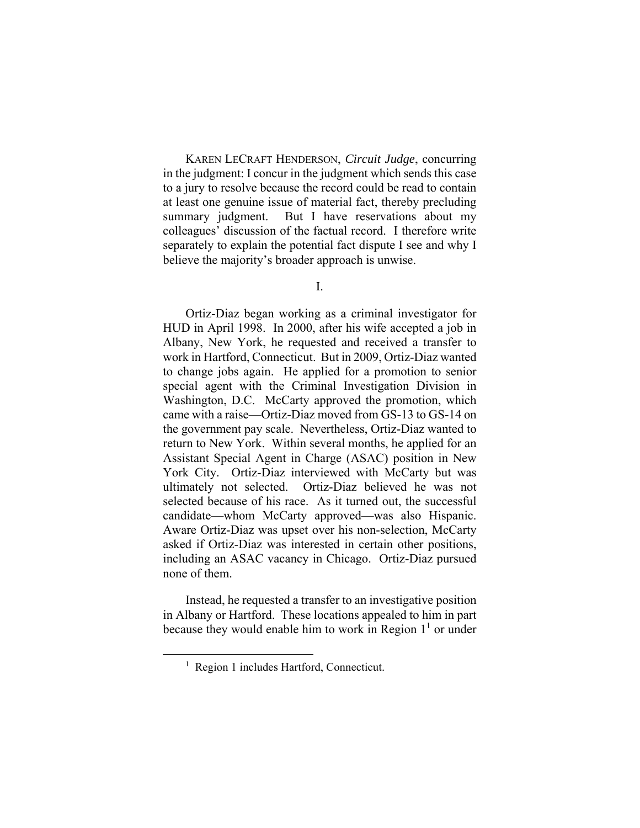KAREN LECRAFT HENDERSON, *Circuit Judge*, concurring in the judgment: I concur in the judgment which sends this case to a jury to resolve because the record could be read to contain at least one genuine issue of material fact, thereby precluding summary judgment. But I have reservations about my colleagues' discussion of the factual record. I therefore write separately to explain the potential fact dispute I see and why I believe the majority's broader approach is unwise.

I.

Ortiz-Diaz began working as a criminal investigator for HUD in April 1998. In 2000, after his wife accepted a job in Albany, New York, he requested and received a transfer to work in Hartford, Connecticut. But in 2009, Ortiz-Diaz wanted to change jobs again. He applied for a promotion to senior special agent with the Criminal Investigation Division in Washington, D.C. McCarty approved the promotion, which came with a raise—Ortiz-Diaz moved from GS-13 to GS-14 on the government pay scale. Nevertheless, Ortiz-Diaz wanted to return to New York. Within several months, he applied for an Assistant Special Agent in Charge (ASAC) position in New York City. Ortiz-Diaz interviewed with McCarty but was ultimately not selected. Ortiz-Diaz believed he was not selected because of his race. As it turned out, the successful candidate—whom McCarty approved—was also Hispanic. Aware Ortiz-Diaz was upset over his non-selection, McCarty asked if Ortiz-Diaz was interested in certain other positions, including an ASAC vacancy in Chicago. Ortiz-Diaz pursued none of them.

Instead, he requested a transfer to an investigative position in Albany or Hartford. These locations appealed to him in part because they would enable him to work in Region  $1<sup>1</sup>$  or under

 <sup>1</sup> <sup>1</sup> Region 1 includes Hartford, Connecticut.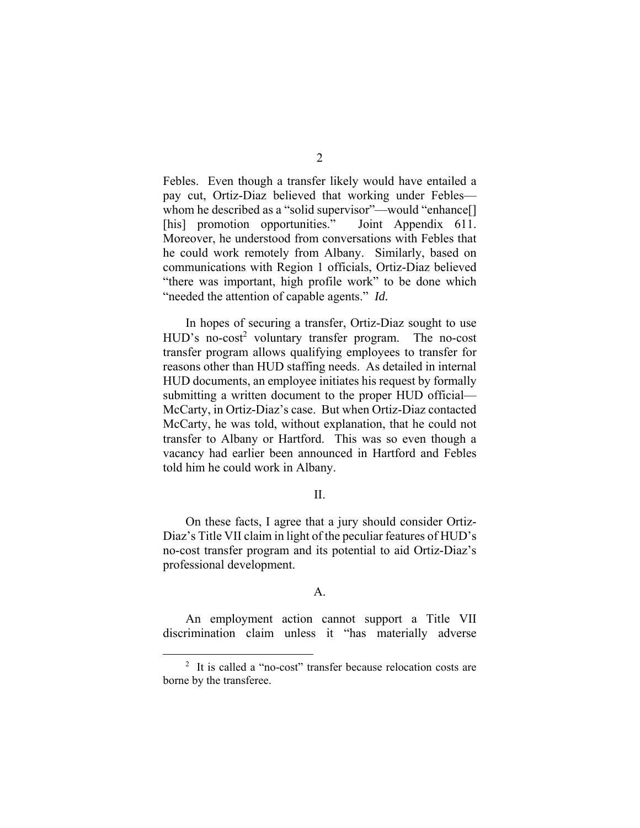Febles. Even though a transfer likely would have entailed a pay cut, Ortiz-Diaz believed that working under Febles whom he described as a "solid supervisor"—would "enhance[] [his] promotion opportunities." Joint Appendix 611. Moreover, he understood from conversations with Febles that he could work remotely from Albany. Similarly, based on communications with Region 1 officials, Ortiz-Diaz believed "there was important, high profile work" to be done which "needed the attention of capable agents." *Id.*

In hopes of securing a transfer, Ortiz-Diaz sought to use HUD's no-cost<sup>2</sup> voluntary transfer program. The no-cost transfer program allows qualifying employees to transfer for reasons other than HUD staffing needs. As detailed in internal HUD documents, an employee initiates his request by formally submitting a written document to the proper HUD official— McCarty, in Ortiz-Diaz's case. But when Ortiz-Diaz contacted McCarty, he was told, without explanation, that he could not transfer to Albany or Hartford. This was so even though a vacancy had earlier been announced in Hartford and Febles told him he could work in Albany.

### II.

On these facts, I agree that a jury should consider Ortiz-Diaz's Title VII claim in light of the peculiar features of HUD's no-cost transfer program and its potential to aid Ortiz-Diaz's professional development.

## A.

An employment action cannot support a Title VII discrimination claim unless it "has materially adverse

 <sup>2</sup>  $2$  It is called a "no-cost" transfer because relocation costs are borne by the transferee.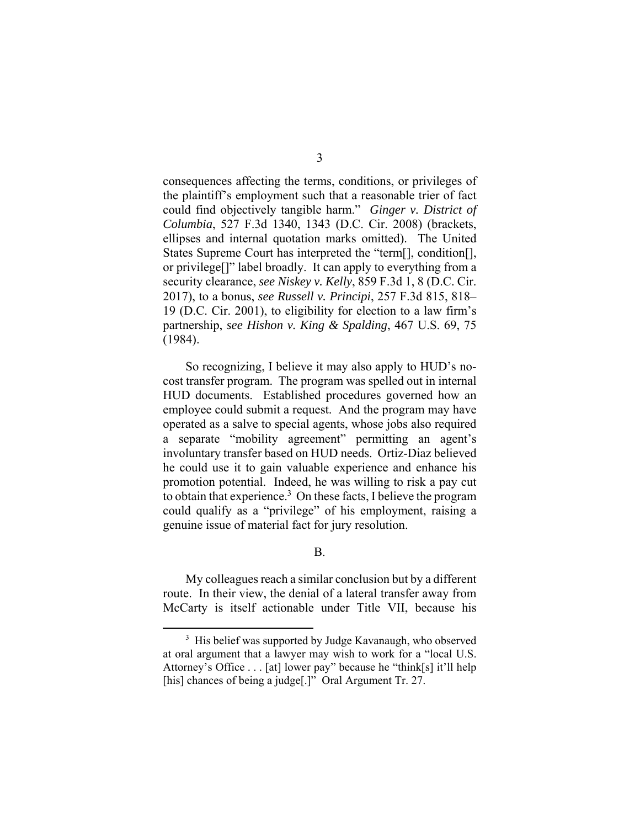consequences affecting the terms, conditions, or privileges of the plaintiff's employment such that a reasonable trier of fact could find objectively tangible harm." *Ginger v. District of Columbia*, 527 F.3d 1340, 1343 (D.C. Cir. 2008) (brackets, ellipses and internal quotation marks omitted). The United States Supreme Court has interpreted the "term[], condition[], or privilege[]" label broadly. It can apply to everything from a security clearance, *see Niskey v. Kelly*, 859 F.3d 1, 8 (D.C. Cir. 2017), to a bonus, *see Russell v. Principi*, 257 F.3d 815, 818– 19 (D.C. Cir. 2001), to eligibility for election to a law firm's partnership, *see Hishon v. King & Spalding*, 467 U.S. 69, 75 (1984).

So recognizing, I believe it may also apply to HUD's nocost transfer program. The program was spelled out in internal HUD documents. Established procedures governed how an employee could submit a request. And the program may have operated as a salve to special agents, whose jobs also required a separate "mobility agreement" permitting an agent's involuntary transfer based on HUD needs. Ortiz-Diaz believed he could use it to gain valuable experience and enhance his promotion potential. Indeed, he was willing to risk a pay cut to obtain that experience.<sup>3</sup> On these facts, I believe the program could qualify as a "privilege" of his employment, raising a genuine issue of material fact for jury resolution.

B.

My colleagues reach a similar conclusion but by a different route. In their view, the denial of a lateral transfer away from McCarty is itself actionable under Title VII, because his

 <sup>3</sup> <sup>3</sup> His belief was supported by Judge Kavanaugh, who observed at oral argument that a lawyer may wish to work for a "local U.S. Attorney's Office . . . [at] lower pay" because he "think[s] it'll help [his] chances of being a judge[.]" Oral Argument Tr. 27.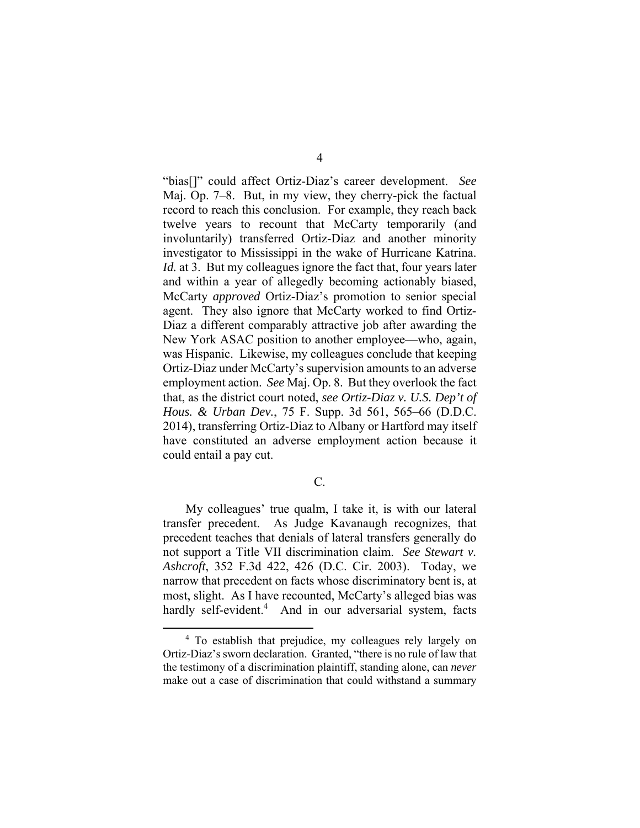"bias[]" could affect Ortiz-Diaz's career development. *See* Maj. Op. 7–8. But, in my view, they cherry-pick the factual record to reach this conclusion. For example, they reach back twelve years to recount that McCarty temporarily (and involuntarily) transferred Ortiz-Diaz and another minority investigator to Mississippi in the wake of Hurricane Katrina. *Id.* at 3. But my colleagues ignore the fact that, four years later and within a year of allegedly becoming actionably biased, McCarty *approved* Ortiz-Diaz's promotion to senior special agent. They also ignore that McCarty worked to find Ortiz-Diaz a different comparably attractive job after awarding the New York ASAC position to another employee—who, again, was Hispanic. Likewise, my colleagues conclude that keeping Ortiz-Diaz under McCarty's supervision amounts to an adverse employment action. *See* Maj. Op. 8. But they overlook the fact that, as the district court noted, *see Ortiz-Diaz v. U.S. Dep't of Hous. & Urban Dev.*, 75 F. Supp. 3d 561, 565–66 (D.D.C. 2014), transferring Ortiz-Diaz to Albany or Hartford may itself have constituted an adverse employment action because it could entail a pay cut.

C.

My colleagues' true qualm, I take it, is with our lateral transfer precedent. As Judge Kavanaugh recognizes, that precedent teaches that denials of lateral transfers generally do not support a Title VII discrimination claim. *See Stewart v. Ashcroft*, 352 F.3d 422, 426 (D.C. Cir. 2003). Today, we narrow that precedent on facts whose discriminatory bent is, at most, slight. As I have recounted, McCarty's alleged bias was hardly self-evident.<sup>4</sup> And in our adversarial system, facts

 $\frac{1}{4}$ <sup>4</sup> To establish that prejudice, my colleagues rely largely on Ortiz-Diaz's sworn declaration. Granted, "there is no rule of law that the testimony of a discrimination plaintiff, standing alone, can *never* make out a case of discrimination that could withstand a summary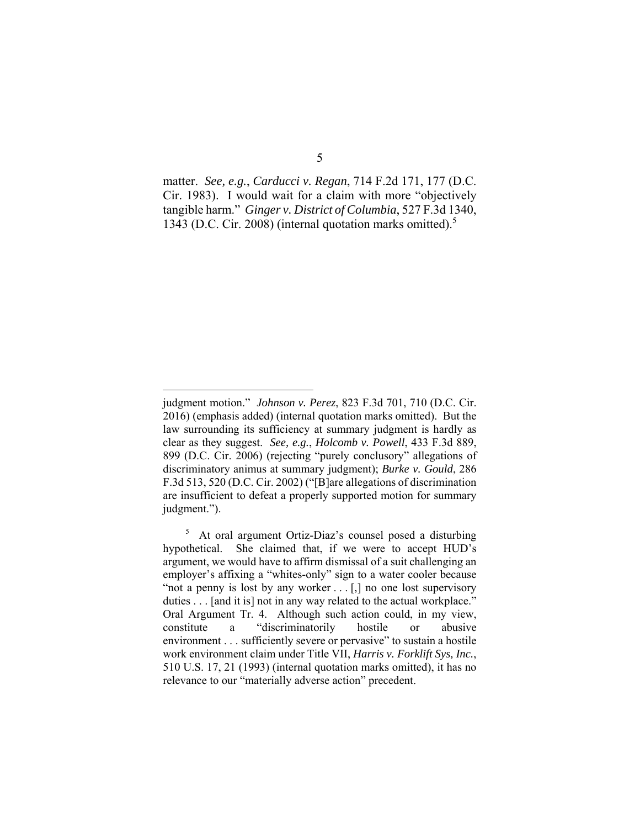matter. *See, e.g.*, *Carducci v. Regan*, 714 F.2d 171, 177 (D.C. Cir. 1983). I would wait for a claim with more "objectively tangible harm." *Ginger v. District of Columbia*, 527 F.3d 1340, 1343 (D.C. Cir. 2008) (internal quotation marks omitted).5

 $\overline{a}$ 

judgment motion." *Johnson v. Perez*, 823 F.3d 701, 710 (D.C. Cir. 2016) (emphasis added) (internal quotation marks omitted). But the law surrounding its sufficiency at summary judgment is hardly as clear as they suggest. *See, e.g.*, *Holcomb v. Powell*, 433 F.3d 889, 899 (D.C. Cir. 2006) (rejecting "purely conclusory" allegations of discriminatory animus at summary judgment); *Burke v. Gould*, 286 F.3d 513, 520 (D.C. Cir. 2002) ("[B]are allegations of discrimination are insufficient to defeat a properly supported motion for summary judgment.").

<sup>5</sup> At oral argument Ortiz-Diaz's counsel posed a disturbing hypothetical. She claimed that, if we were to accept HUD's argument, we would have to affirm dismissal of a suit challenging an employer's affixing a "whites-only" sign to a water cooler because "not a penny is lost by any worker . . . [,] no one lost supervisory duties . . . [and it is] not in any way related to the actual workplace." Oral Argument Tr. 4. Although such action could, in my view, constitute a "discriminatorily hostile or abusive environment . . . sufficiently severe or pervasive" to sustain a hostile work environment claim under Title VII, *Harris v. Forklift Sys, Inc.*, 510 U.S. 17, 21 (1993) (internal quotation marks omitted), it has no relevance to our "materially adverse action" precedent.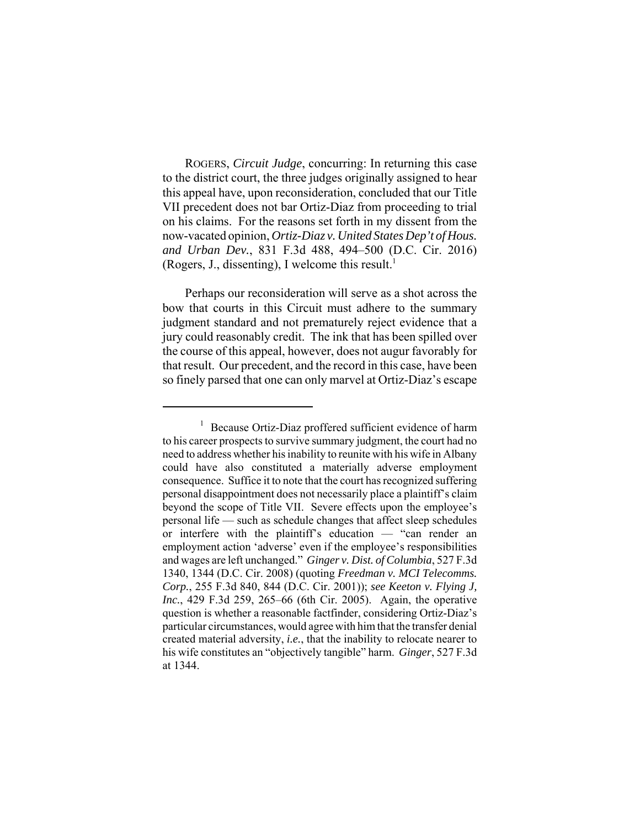ROGERS, *Circuit Judge*, concurring: In returning this case to the district court, the three judges originally assigned to hear this appeal have, upon reconsideration, concluded that our Title VII precedent does not bar Ortiz-Diaz from proceeding to trial on his claims. For the reasons set forth in my dissent from the now-vacated opinion, *Ortiz-Diaz v. United States Dep't of Hous. and Urban Dev.*, 831 F.3d 488, 494–500 (D.C. Cir. 2016) (Rogers, J., dissenting), I welcome this result.<sup>1</sup>

Perhaps our reconsideration will serve as a shot across the bow that courts in this Circuit must adhere to the summary judgment standard and not prematurely reject evidence that a jury could reasonably credit. The ink that has been spilled over the course of this appeal, however, does not augur favorably for that result. Our precedent, and the record in this case, have been so finely parsed that one can only marvel at Ortiz-Diaz's escape

<sup>1</sup> Because Ortiz-Diaz proffered sufficient evidence of harm to his career prospects to survive summary judgment, the court had no need to address whether his inability to reunite with his wife in Albany could have also constituted a materially adverse employment consequence. Suffice it to note that the court has recognized suffering personal disappointment does not necessarily place a plaintiff's claim beyond the scope of Title VII. Severe effects upon the employee's personal life — such as schedule changes that affect sleep schedules or interfere with the plaintiff's education — "can render an employment action 'adverse' even if the employee's responsibilities and wages are left unchanged." *Ginger v. Dist. of Columbia*, 527 F.3d 1340, 1344 (D.C. Cir. 2008) (quoting *Freedman v. MCI Telecomms. Corp.*, 255 F.3d 840, 844 (D.C. Cir. 2001)); *see Keeton v. Flying J, Inc.*, 429 F.3d 259, 265–66 (6th Cir. 2005). Again, the operative question is whether a reasonable factfinder, considering Ortiz-Diaz's particular circumstances, would agree with him that the transfer denial created material adversity, *i.e.*, that the inability to relocate nearer to his wife constitutes an "objectively tangible" harm. *Ginger*, 527 F.3d at 1344.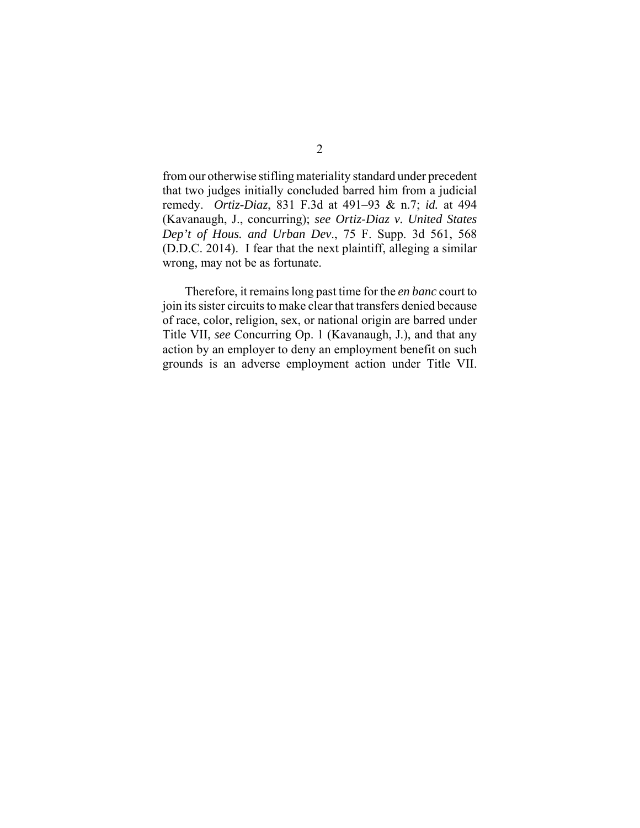from our otherwise stifling materiality standard under precedent that two judges initially concluded barred him from a judicial remedy. *Ortiz-Diaz*, 831 F.3d at 491–93 & n.7; *id.* at 494 (Kavanaugh, J., concurring); *see Ortiz-Diaz v. United States Dep't of Hous. and Urban Dev*., 75 F. Supp. 3d 561, 568 (D.D.C. 2014). I fear that the next plaintiff, alleging a similar wrong, may not be as fortunate.

Therefore, it remains long past time for the *en banc* court to join its sister circuits to make clear that transfers denied because of race, color, religion, sex, or national origin are barred under Title VII, *see* Concurring Op. 1 (Kavanaugh, J.), and that any action by an employer to deny an employment benefit on such grounds is an adverse employment action under Title VII.